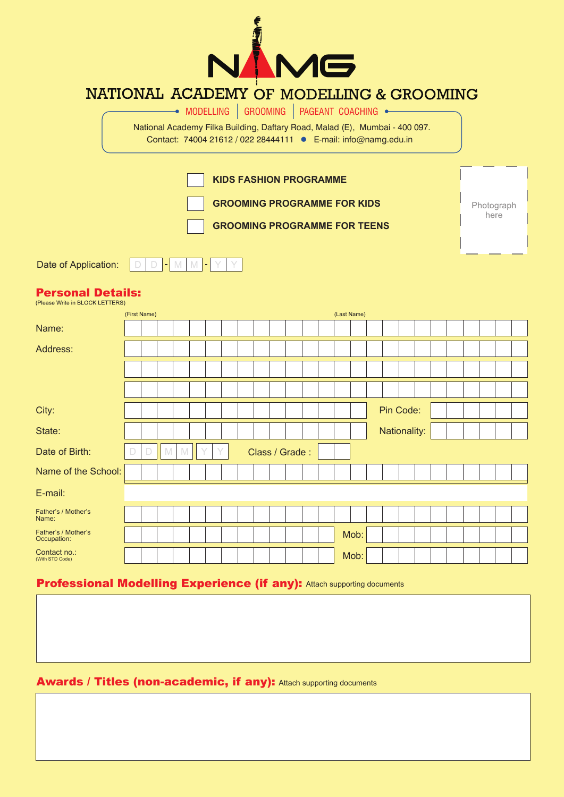

## NATIONAL ACADEMY OF MODELLING & GROOMING

 $\rightarrow$  modelling  $|$  grooming  $|$  pageant coaching  $\rightarrow$ 

National Academy Filka Building, Daftary Road, Malad (E), Mumbai - 400 097. Contact: 74004 21612 / 022 28444111 E-mail: info@namg.edu.in

|                      |                | <b>KIDS FASHION PROGRAMME</b>       |            |
|----------------------|----------------|-------------------------------------|------------|
|                      |                | <b>GROOMING PROGRAMME FOR KIDS</b>  | Photograph |
|                      |                | <b>GROOMING PROGRAMME FOR TEENS</b> | here       |
|                      |                |                                     |            |
| Date of Application: | $\overline{ }$ |                                     |            |

## Personal Details:

| (Figure Write in DEOCK EET TERO)   |              |   |   |             |   |  |                |  |  |             |              |  |  |  |  |
|------------------------------------|--------------|---|---|-------------|---|--|----------------|--|--|-------------|--------------|--|--|--|--|
|                                    | (First Name) |   |   |             |   |  |                |  |  | (Last Name) |              |  |  |  |  |
| Name:                              |              |   |   |             |   |  |                |  |  |             |              |  |  |  |  |
| Address:                           |              |   |   |             |   |  |                |  |  |             |              |  |  |  |  |
|                                    |              |   |   |             |   |  |                |  |  |             |              |  |  |  |  |
|                                    |              |   |   |             |   |  |                |  |  |             |              |  |  |  |  |
| City:                              |              |   |   |             |   |  |                |  |  |             | Pin Code:    |  |  |  |  |
| State:                             |              |   |   |             |   |  |                |  |  |             | Nationality: |  |  |  |  |
| Date of Birth:                     | $\Box$       | D | M | $\mathbb N$ | Y |  | Class / Grade: |  |  |             |              |  |  |  |  |
| Name of the School:                |              |   |   |             |   |  |                |  |  |             |              |  |  |  |  |
| E-mail:                            |              |   |   |             |   |  |                |  |  |             |              |  |  |  |  |
| Father's / Mother's<br>Name:       |              |   |   |             |   |  |                |  |  |             |              |  |  |  |  |
| Father's / Mother's<br>Occupation: |              |   |   |             |   |  |                |  |  | Mob:        |              |  |  |  |  |
| Contact no.:<br>(With STD Code)    |              |   |   |             |   |  |                |  |  | Mob:        |              |  |  |  |  |

## Professional Modelling Experience (if any): Attach supporting documents

## Awards / Titles (non-academic, if any): Attach supporting documents